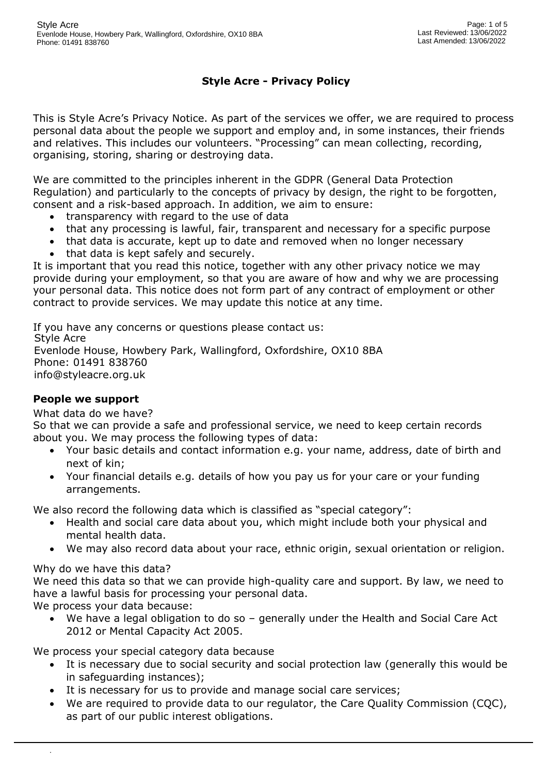# **Style Acre - Privacy Policy**

This is Style Acre's Privacy Notice. As part of the services we offer, we are required to process personal data about the people we support and employ and, in some instances, their friends and relatives. This includes our volunteers. "Processing" can mean collecting, recording, organising, storing, sharing or destroying data.

We are committed to the principles inherent in the GDPR (General Data Protection Regulation) and particularly to the concepts of privacy by design, the right to be forgotten, consent and a risk-based approach. In addition, we aim to ensure:

- transparency with regard to the use of data
- that any processing is lawful, fair, transparent and necessary for a specific purpose
- that data is accurate, kept up to date and removed when no longer necessary
- that data is kept safely and securely.

It is important that you read this notice, together with any other privacy notice we may provide during your employment, so that you are aware of how and why we are processing your personal data. This notice does not form part of any contract of employment or other contract to provide services. We may update this notice at any time.

If you have any concerns or questions please contact us: Style Acre Evenlode House, Howbery Park, Wallingford, Oxfordshire, OX10 8BA Phone: 01491 838760 info@styleacre.org.uk

### **People we support**

#### What data do we have?

So that we can provide a safe and professional service, we need to keep certain records about you. We may process the following types of data:

- Your basic details and contact information e.g. your name, address, date of birth and next of kin;
- Your financial details e.g. details of how you pay us for your care or your funding arrangements.

We also record the following data which is classified as "special category":

- Health and social care data about you, which might include both your physical and mental health data.
- We may also record data about your race, ethnic origin, sexual orientation or religion.

#### Why do we have this data?

.

We need this data so that we can provide high-quality care and support. By law, we need to have a lawful basis for processing your personal data.

We process your data because:

• We have a legal obligation to do so – generally under the Health and Social Care Act 2012 or Mental Capacity Act 2005.

We process your special category data because

- It is necessary due to social security and social protection law (generally this would be in safeguarding instances);
- It is necessary for us to provide and manage social care services;
- We are required to provide data to our regulator, the Care Quality Commission (CQC), as part of our public interest obligations.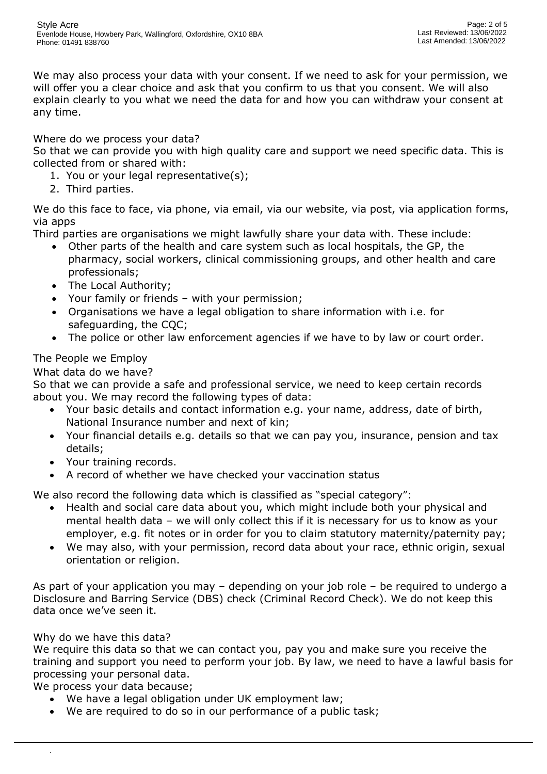We may also process your data with your consent. If we need to ask for your permission, we will offer you a clear choice and ask that you confirm to us that you consent. We will also explain clearly to you what we need the data for and how you can withdraw your consent at any time.

### Where do we process your data?

So that we can provide you with high quality care and support we need specific data. This is collected from or shared with:

- 1. You or your legal representative(s);
- 2. Third parties.

We do this face to face, via phone, via email, via our website, via post, via application forms, via apps

Third parties are organisations we might lawfully share your data with. These include:

- Other parts of the health and care system such as local hospitals, the GP, the pharmacy, social workers, clinical commissioning groups, and other health and care professionals;
- The Local Authority;
- Your family or friends with your permission;
- Organisations we have a legal obligation to share information with i.e. for safeguarding, the CQC;
- The police or other law enforcement agencies if we have to by law or court order.

## The People we Employ

What data do we have?

So that we can provide a safe and professional service, we need to keep certain records about you. We may record the following types of data:

- Your basic details and contact information e.g. your name, address, date of birth, National Insurance number and next of kin;
- Your financial details e.g. details so that we can pay you, insurance, pension and tax details;
- Your training records.
- A record of whether we have checked your vaccination status

We also record the following data which is classified as "special category":

- Health and social care data about you, which might include both your physical and mental health data – we will only collect this if it is necessary for us to know as your employer, e.g. fit notes or in order for you to claim statutory maternity/paternity pay;
- We may also, with your permission, record data about your race, ethnic origin, sexual orientation or religion.

As part of your application you may – depending on your job role – be required to undergo a Disclosure and Barring Service (DBS) check (Criminal Record Check). We do not keep this data once we've seen it.

### Why do we have this data?

.

We require this data so that we can contact you, pay you and make sure you receive the training and support you need to perform your job. By law, we need to have a lawful basis for processing your personal data.

We process your data because;

- We have a legal obligation under UK employment law;
- We are required to do so in our performance of a public task;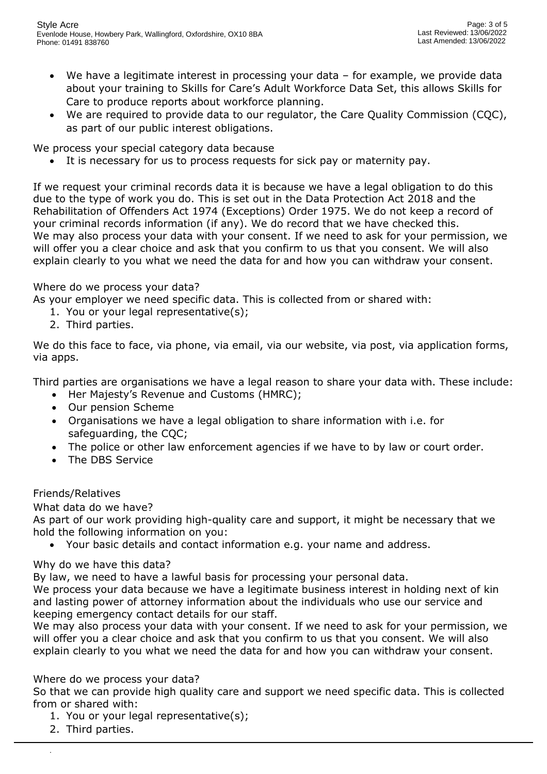- We have a legitimate interest in processing your data for example, we provide data about your training to Skills for Care's Adult Workforce Data Set, this allows Skills for Care to produce reports about workforce planning.
- We are required to provide data to our regulator, the Care Quality Commission (CQC), as part of our public interest obligations.

We process your special category data because

• It is necessary for us to process requests for sick pay or maternity pay.

If we request your criminal records data it is because we have a legal obligation to do this due to the type of work you do. This is set out in the Data Protection Act 2018 and the Rehabilitation of Offenders Act 1974 (Exceptions) Order 1975. We do not keep a record of your criminal records information (if any). We do record that we have checked this. We may also process your data with your consent. If we need to ask for your permission, we will offer you a clear choice and ask that you confirm to us that you consent. We will also explain clearly to you what we need the data for and how you can withdraw your consent.

### Where do we process your data?

As your employer we need specific data. This is collected from or shared with:

- 1. You or your legal representative(s);
- 2. Third parties.

We do this face to face, via phone, via email, via our website, via post, via application forms, via apps.

Third parties are organisations we have a legal reason to share your data with. These include:

- Her Majesty's Revenue and Customs (HMRC);
- Our pension Scheme
- Organisations we have a legal obligation to share information with i.e. for safeguarding, the CQC;
- The police or other law enforcement agencies if we have to by law or court order.
- The DBS Service

### Friends/Relatives

What data do we have?

As part of our work providing high-quality care and support, it might be necessary that we hold the following information on you:

• Your basic details and contact information e.g. your name and address.

### Why do we have this data?

By law, we need to have a lawful basis for processing your personal data.

We process your data because we have a legitimate business interest in holding next of kin and lasting power of attorney information about the individuals who use our service and keeping emergency contact details for our staff.

We may also process your data with your consent. If we need to ask for your permission, we will offer you a clear choice and ask that you confirm to us that you consent. We will also explain clearly to you what we need the data for and how you can withdraw your consent.

### Where do we process your data?

So that we can provide high quality care and support we need specific data. This is collected from or shared with:

- 1. You or your legal representative(s);
- 2. Third parties.

.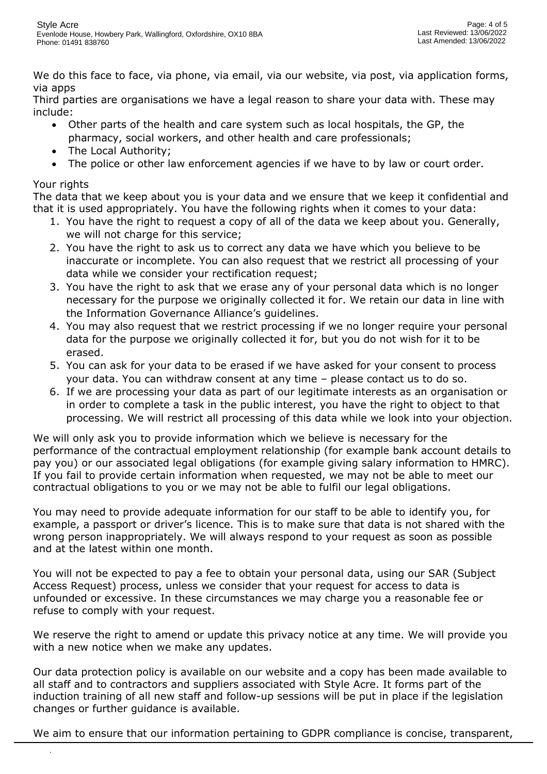We do this face to face, via phone, via email, via our website, via post, via application forms, via apps

Third parties are organisations we have a legal reason to share your data with. These may include:

- Other parts of the health and care system such as local hospitals, the GP, the pharmacy, social workers, and other health and care professionals;
- The Local Authority;
- The police or other law enforcement agencies if we have to by law or court order.

# Your rights

.

The data that we keep about you is your data and we ensure that we keep it confidential and that it is used appropriately. You have the following rights when it comes to your data:

- 1. You have the right to request a copy of all of the data we keep about you. Generally, we will not charge for this service;
- 2. You have the right to ask us to correct any data we have which you believe to be inaccurate or incomplete. You can also request that we restrict all processing of your data while we consider your rectification request;
- 3. You have the right to ask that we erase any of your personal data which is no longer necessary for the purpose we originally collected it for. We retain our data in line with the Information Governance Alliance's guidelines.
- 4. You may also request that we restrict processing if we no longer require your personal data for the purpose we originally collected it for, but you do not wish for it to be erased.
- 5. You can ask for your data to be erased if we have asked for your consent to process your data. You can withdraw consent at any time – please contact us to do so.
- 6. If we are processing your data as part of our legitimate interests as an organisation or in order to complete a task in the public interest, you have the right to object to that processing. We will restrict all processing of this data while we look into your objection.

We will only ask you to provide information which we believe is necessary for the performance of the contractual employment relationship (for example bank account details to pay you) or our associated legal obligations (for example giving salary information to HMRC). If you fail to provide certain information when requested, we may not be able to meet our contractual obligations to you or we may not be able to fulfil our legal obligations.

You may need to provide adequate information for our staff to be able to identify you, for example, a passport or driver's licence. This is to make sure that data is not shared with the wrong person inappropriately. We will always respond to your request as soon as possible and at the latest within one month.

You will not be expected to pay a fee to obtain your personal data, using our SAR (Subject Access Request) process, unless we consider that your request for access to data is unfounded or excessive. In these circumstances we may charge you a reasonable fee or refuse to comply with your request.

We reserve the right to amend or update this privacy notice at any time. We will provide you with a new notice when we make any updates.

Our data protection policy is available on our website and a copy has been made available to all staff and to contractors and suppliers associated with Style Acre. It forms part of the induction training of all new staff and follow-up sessions will be put in place if the legislation changes or further guidance is available.

We aim to ensure that our information pertaining to GDPR compliance is concise, transparent,